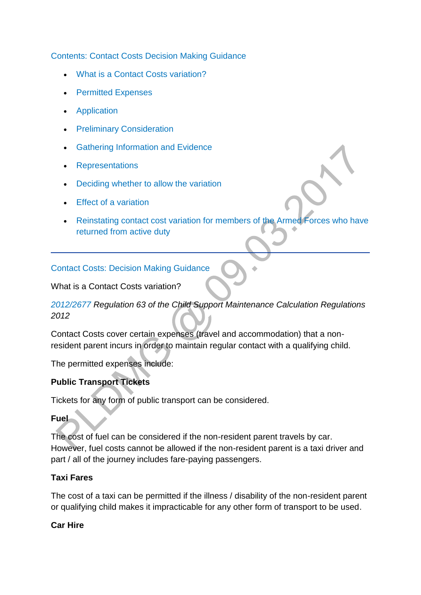[Contents: Contact Costs Decision Making Guidance](http://np-cmg-sharepoint.link2.gpn.gov.uk/sites/policy-law-and-decision-making-guidance/Pages/Variations/Special%20Expenses/Contact-Costs.aspx?ControlMode=Edit&DisplayMode=Design)

- [What is a Contact Costs variation?](http://np-cmg-sharepoint.link2.gpn.gov.uk/sites/policy-law-and-decision-making-guidance/Pages/Variations/Special%20Expenses/Contact-Costs.aspx#Contactcostsvariation)
- [Permitted Expenses](http://np-cmg-sharepoint.link2.gpn.gov.uk/sites/policy-law-and-decision-making-guidance/Pages/Variations/Special%20Expenses/Contact-Costs.aspx#Contactcostsvariation)
- [Application](http://np-cmg-sharepoint.link2.gpn.gov.uk/sites/policy-law-and-decision-making-guidance/Pages/Variations/Special%20Expenses/Contact-Costs.aspx#ContactCostsApplication)
- **•** [Preliminary Consideration](http://np-cmg-sharepoint.link2.gpn.gov.uk/sites/policy-law-and-decision-making-guidance/Pages/Variations/Special%20Expenses/Contact-Costs.aspx#ContactCostsPreliminaryConsideration)
- [Gathering Information and Evidence](http://np-cmg-sharepoint.link2.gpn.gov.uk/sites/policy-law-and-decision-making-guidance/Pages/Variations/Special%20Expenses/Contact-Costs.aspx#ContactCostsEvidence)
- [Representations](http://np-cmg-sharepoint.link2.gpn.gov.uk/sites/policy-law-and-decision-making-guidance/Pages/Variations/Special%20Expenses/Contact-Costs.aspx#ContactCostsRepresentations)
- [Deciding whether to allow the variation](http://np-cmg-sharepoint.link2.gpn.gov.uk/sites/policy-law-and-decision-making-guidance/Pages/Variations/Special%20Expenses/Contact-Costs.aspx#ContactCostsAllowing)
- [Effect of a variation](http://np-cmg-sharepoint.link2.gpn.gov.uk/sites/policy-law-and-decision-making-guidance/Pages/Variations/Special%20Expenses/Contact-Costs.aspx#ContactCostsEffect)
- [Reinstating contact cost variation for members of the Armed Forces who have](http://np-cmg-sharepoint.link2.gpn.gov.uk/sites/policy-law-and-decision-making-guidance/Pages/Variations/Special%20Expenses/Contact-Costs.aspx#reinstating)  [returned from active duty](http://np-cmg-sharepoint.link2.gpn.gov.uk/sites/policy-law-and-decision-making-guidance/Pages/Variations/Special%20Expenses/Contact-Costs.aspx#reinstating)

[Contact Costs: Decision Making Guidance](http://np-cmg-sharepoint.link2.gpn.gov.uk/sites/policy-law-and-decision-making-guidance/Pages/Variations/Special%20Expenses/Contact-Costs.aspx)

What is a Contact Costs variation?

# *[2012/2677 R](http://www.legislation.gov.uk/uksi/2012/2677)egulation 63 of the Child Support Maintenance Calculation Regulations 2012*

Contact Costs cover certain expenses (travel and accommodation) that a nonresident parent incurs in order to maintain regular contact with a qualifying child.

The permitted expenses include:

# **Public Transport Tickets**

Tickets for any form of public transport can be considered.

## **Fuel**

The cost of fuel can be considered if the non-resident parent travels by car. However, fuel costs cannot be allowed if the non-resident parent is a taxi driver and part / all of the journey includes fare-paying passengers.

# **Taxi Fares**

The cost of a taxi can be permitted if the illness / disability of the non-resident parent or qualifying child makes it impracticable for any other form of transport to be used.

## **Car Hire**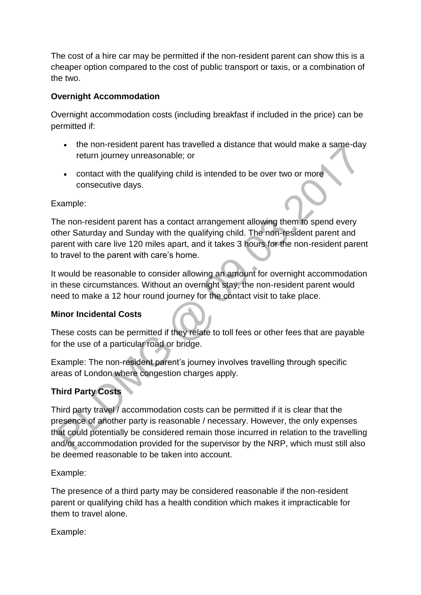The cost of a hire car may be permitted if the non-resident parent can show this is a cheaper option compared to the cost of public transport or taxis, or a combination of the two.

## **Overnight Accommodation**

Overnight accommodation costs (including breakfast if included in the price) can be permitted if:

- the non-resident parent has travelled a distance that would make a same-day return journey unreasonable; or
- contact with the qualifying child is intended to be over two or more consecutive days.

## Example:

The non-resident parent has a contact arrangement allowing them to spend every other Saturday and Sunday with the qualifying child. The non-resident parent and parent with care live 120 miles apart, and it takes 3 hours for the non-resident parent to travel to the parent with care's home.

It would be reasonable to consider allowing an amount for overnight accommodation in these circumstances. Without an overnight stay, the non-resident parent would need to make a 12 hour round journey for the contact visit to take place.

# **Minor Incidental Costs**

These costs can be permitted if they relate to toll fees or other fees that are payable for the use of a particular road or bridge.

Example: The non-resident parent's journey involves travelling through specific areas of London where congestion charges apply.

# **Third Party Costs**

Third party travel / accommodation costs can be permitted if it is clear that the presence of another party is reasonable / necessary. However, the only expenses that could potentially be considered remain those incurred in relation to the travelling and/or accommodation provided for the supervisor by the NRP, which must still also be deemed reasonable to be taken into account.

Example:

The presence of a third party may be considered reasonable if the non-resident parent or qualifying child has a health condition which makes it impracticable for them to travel alone.

# Example: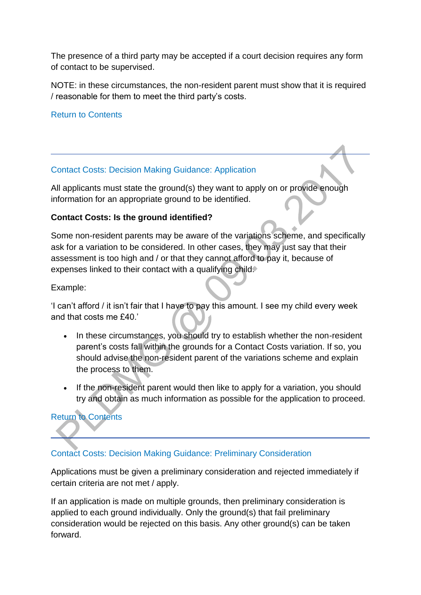The presence of a third party may be accepted if a court decision requires any form of contact to be supervised.

NOTE: in these circumstances, the non-resident parent must show that it is required / reasonable for them to meet the third party's costs.

[Return to Contents](http://np-cmg-sharepoint.link2.gpn.gov.uk/sites/policy-law-and-decision-making-guidance/Pages/Variations/Special%20Expenses/Contact-Costs.aspx#DMGcontents)

## [Contact Costs: Decision Making Guidance: Application](http://np-cmg-sharepoint.link2.gpn.gov.uk/sites/policy-law-and-decision-making-guidance/Pages/Variations/Special%20Expenses/Contact-Costs.aspx)

All applicants must state the ground(s) they want to apply on or provide enough information for an appropriate ground to be identified.

## **Contact Costs: Is the ground identified?**

Some non-resident parents may be aware of the variations scheme, and specifically ask for a variation to be considered. In other cases, they may just say that their assessment is too high and / or that they cannot afford to pay it, because of expenses linked to their contact with a qualifying child.

Example:

'I can't afford / it isn't fair that I have to pay this amount. I see my child every week and that costs me £40.'

- In these circumstances, you should try to establish whether the non-resident parent's costs fall within the grounds for a Contact Costs variation. If so, you should advise the non-resident parent of the variations scheme and explain the process to them.
- If the non-resident parent would then like to apply for a variation, you should try and obtain as much information as possible for the application to proceed.

# [Return to Contents](http://np-cmg-sharepoint.link2.gpn.gov.uk/sites/policy-law-and-decision-making-guidance/Pages/Variations/Special%20Expenses/Contact-Costs.aspx#DMGcontents)

# [Contact Costs: Decision Making Guidance: Preliminary Consideration](http://np-cmg-sharepoint.link2.gpn.gov.uk/sites/policy-law-and-decision-making-guidance/Pages/Variations/Special%20Expenses/Contact-Costs.aspx)

Applications must be given a preliminary consideration and rejected immediately if certain criteria are not met / apply.

If an application is made on multiple grounds, then preliminary consideration is applied to each ground individually. Only the ground(s) that fail preliminary consideration would be rejected on this basis. Any other ground(s) can be taken forward.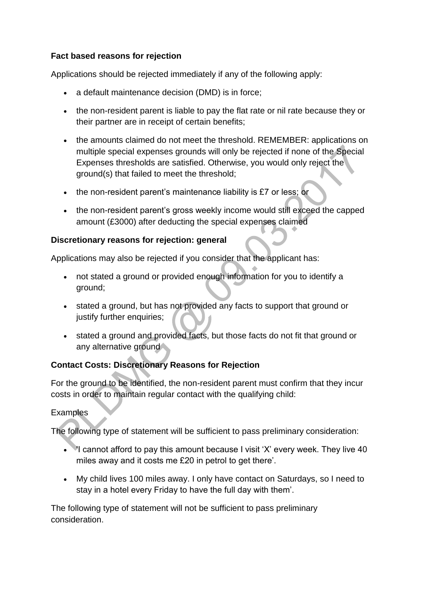## **Fact based reasons for rejection**

Applications should be rejected immediately if any of the following apply:

- a default maintenance decision (DMD) is in force;
- the non-resident parent is liable to pay the flat rate or nil rate because they or their partner are in receipt of certain benefits;
- the amounts claimed do not meet the threshold. REMEMBER: applications on multiple special expenses grounds will only be rejected if none of the Special Expenses thresholds are satisfied. Otherwise, you would only reject the ground(s) that failed to meet the threshold;
- $\bullet$  the non-resident parent's maintenance liability is £7 or less; or
- the non-resident parent's gross weekly income would still exceed the capped amount (£3000) after deducting the special expenses claimed

## **Discretionary reasons for rejection: general**

Applications may also be rejected if you consider that the applicant has:

- not stated a ground or provided enough information for you to identify a ground;
- stated a ground, but has not provided any facts to support that ground or justify further enquiries;
- stated a ground and provided facts, but those facts do not fit that ground or any alternative ground

# **Contact Costs: Discretionary Reasons for Rejection**

For the ground to be identified, the non-resident parent must confirm that they incur costs in order to maintain regular contact with the qualifying child:

# Examples

The following type of statement will be sufficient to pass preliminary consideration:

- $\blacktriangleright$ I cannot afford to pay this amount because I visit 'X' every week. They live 40 miles away and it costs me £20 in petrol to get there'.
- My child lives 100 miles away. I only have contact on Saturdays, so I need to stay in a hotel every Friday to have the full day with them'.

The following type of statement will not be sufficient to pass preliminary consideration.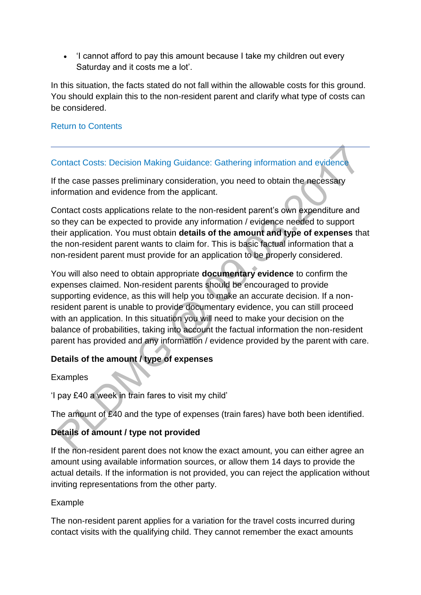• 'I cannot afford to pay this amount because I take my children out every Saturday and it costs me a lot'.

In this situation, the facts stated do not fall within the allowable costs for this ground. You should explain this to the non-resident parent and clarify what type of costs can be considered.

#### [Return to Contents](http://np-cmg-sharepoint.link2.gpn.gov.uk/sites/policy-law-and-decision-making-guidance/Pages/Variations/Special%20Expenses/Contact-Costs.aspx#DMGcontents)

## [Contact Costs: Decision Making Guidance: Gathering information and evidence](http://np-cmg-sharepoint.link2.gpn.gov.uk/sites/policy-law-and-decision-making-guidance/Pages/Variations/Special%20Expenses/Contact-Costs.aspx)

If the case passes preliminary consideration, you need to obtain the necessary information and evidence from the applicant.

Contact costs applications relate to the non-resident parent's own expenditure and so they can be expected to provide any information / evidence needed to support their application. You must obtain **details of the amount and type of expenses** that the non-resident parent wants to claim for. This is basic factual information that a non-resident parent must provide for an application to be properly considered.

You will also need to obtain appropriate **documentary evidence** to confirm the expenses claimed. Non-resident parents should be encouraged to provide supporting evidence, as this will help you to make an accurate decision. If a nonresident parent is unable to provide documentary evidence, you can still proceed with an application. In this situation you will need to make your decision on the balance of probabilities, taking into account the factual information the non-resident parent has provided and any information / evidence provided by the parent with care.

## **Details of the amount / type of expenses**

Examples

'I pay £40 a week in train fares to visit my child'

The amount of £40 and the type of expenses (train fares) have both been identified.

## **Details of amount / type not provided**

If the non-resident parent does not know the exact amount, you can either agree an amount using available information sources, or allow them 14 days to provide the actual details. If the information is not provided, you can reject the application without inviting representations from the other party.

## Example

The non-resident parent applies for a variation for the travel costs incurred during contact visits with the qualifying child. They cannot remember the exact amounts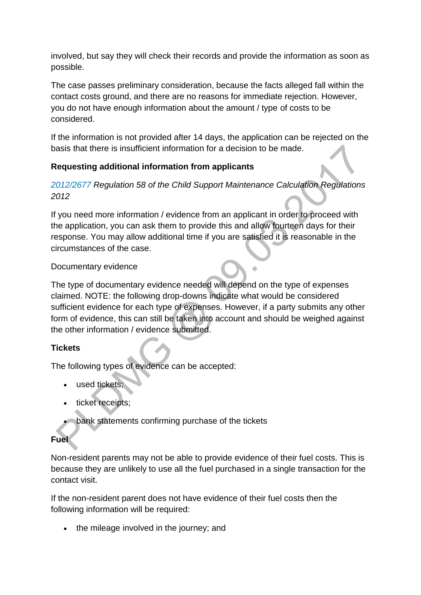involved, but say they will check their records and provide the information as soon as possible.

The case passes preliminary consideration, because the facts alleged fall within the contact costs ground, and there are no reasons for immediate rejection. However, you do not have enough information about the amount / type of costs to be considered.

If the information is not provided after 14 days, the application can be rejected on the basis that there is insufficient information for a decision to be made.

# **Requesting additional information from applicants**

## *[2012/2677 R](http://www.legislation.gov.uk/uksi/2012/2677)egulation 58 of the Child Support Maintenance Calculation Regulations 2012*

If you need more information / evidence from an applicant in order to proceed with the application, you can ask them to provide this and allow fourteen days for their response. You may allow additional time if you are satisfied it is reasonable in the circumstances of the case.

## Documentary evidence

The type of documentary evidence needed will depend on the type of expenses claimed. NOTE: the following drop-downs indicate what would be considered sufficient evidence for each type of expenses. However, if a party submits any other form of evidence, this can still be taken into account and should be weighed against the other information / evidence submitted.

## **Tickets**

The following types of evidence can be accepted:

- used tickets;
- ticket receipts;
- **bank statements confirming purchase of the tickets**

## **Fuel**

Non-resident parents may not be able to provide evidence of their fuel costs. This is because they are unlikely to use all the fuel purchased in a single transaction for the contact visit.

If the non-resident parent does not have evidence of their fuel costs then the following information will be required:

• the mileage involved in the journey; and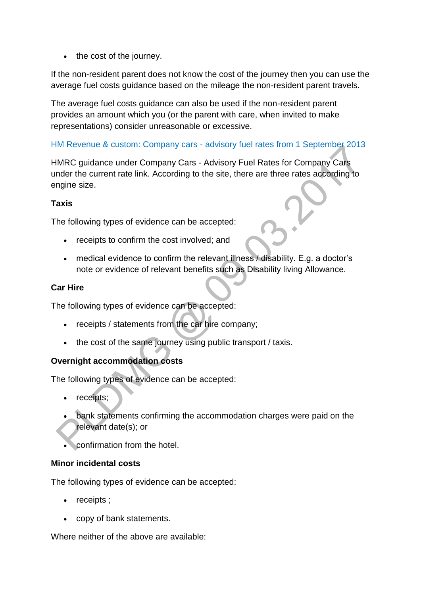$\bullet$  the cost of the journey.

If the non-resident parent does not know the cost of the journey then you can use the average fuel costs guidance based on the mileage the non-resident parent travels.

The average fuel costs guidance can also be used if the non-resident parent provides an amount which you (or the parent with care, when invited to make representations) consider unreasonable or excessive.

# HM Revenue & custom: Company cars - [advisory fuel rates from 1 September 2013](http://www.hmrc.gov.uk/cars/advisory_fuel_current.htm)

HMRC guidance under Company Cars - Advisory Fuel Rates for Company Cars under the current rate link. According to the site, there are three rates according to engine size.

## **Taxis**

The following types of evidence can be accepted:

- receipts to confirm the cost involved; and
- medical evidence to confirm the relevant illness  $\ell$  disability. E.g. a doctor's note or evidence of relevant benefits such as Disability living Allowance.

# **Car Hire**

The following types of evidence can be accepted:

- receipts / statements from the car hire company;
- the cost of the same journey using public transport / taxis.

# **Overnight accommodation costs**

The following types of evidence can be accepted:

- receipts;
- bank statements confirming the accommodation charges were paid on the relevant date(s); or
- confirmation from the hotel.

## **Minor incidental costs**

The following types of evidence can be accepted:

- receipts ;
- copy of bank statements.

Where neither of the above are available: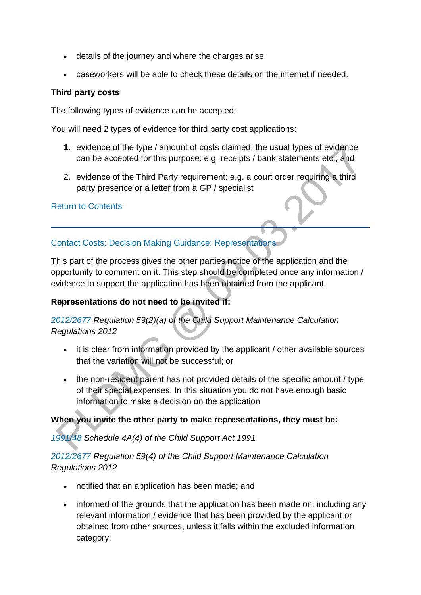- details of the journey and where the charges arise;
- caseworkers will be able to check these details on the internet if needed.

#### **Third party costs**

The following types of evidence can be accepted:

You will need 2 types of evidence for third party cost applications:

- **1.** evidence of the type / amount of costs claimed: the usual types of evidence can be accepted for this purpose: e.g. receipts / bank statements etc.; and
- 2. evidence of the Third Party requirement: e.g. a court order requiring a third party presence or a letter from a GP / specialist

#### [Return to Contents](http://np-cmg-sharepoint.link2.gpn.gov.uk/sites/policy-law-and-decision-making-guidance/Pages/Variations/Special%20Expenses/Contact-Costs.aspx#DMGcontents)

## [Contact Costs: Decision Making Guidance: Representations](http://np-cmg-sharepoint.link2.gpn.gov.uk/sites/policy-law-and-decision-making-guidance/Pages/Variations/Special%20Expenses/Contact-Costs.aspx)

This part of the process gives the other parties notice of the application and the opportunity to comment on it. This step should be completed once any information / evidence to support the application has been obtained from the applicant.

## **Representations do not need to be invited if:**

# *[2012/2677](http://www.legislation.gov.uk/uksi/2012/2677) Regulation 59(2)(a) of the Child Support Maintenance Calculation Regulations 2012*

- it is clear from information provided by the applicant / other available sources that the variation will not be successful; or
- the non-resident parent has not provided details of the specific amount / type of their special expenses. In this situation you do not have enough basic information to make a decision on the application

## **When you invite the other party to make representations, they must be:**

*[1991/48 S](http://www.legislation.gov.uk/ukpga/1991/48)chedule 4A(4) of the Child Support Act 1991*

## *[2012/2677 R](http://www.legislation.gov.uk/uksi/2012/2677)egulation 59(4) of the Child Support Maintenance Calculation Regulations 2012*

- notified that an application has been made; and
- informed of the grounds that the application has been made on, including any relevant information / evidence that has been provided by the applicant or obtained from other sources, unless it falls within the excluded information category;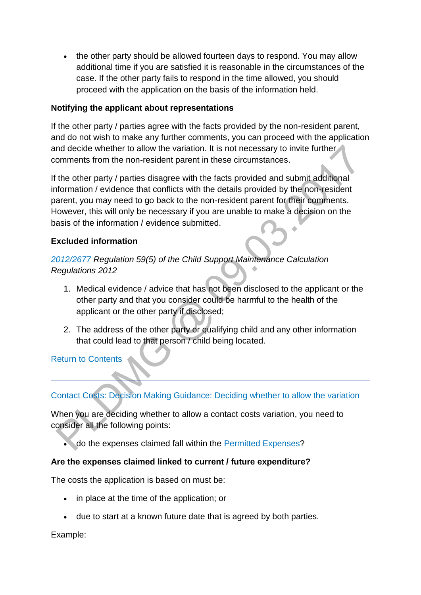• the other party should be allowed fourteen days to respond. You may allow additional time if you are satisfied it is reasonable in the circumstances of the case. If the other party fails to respond in the time allowed, you should proceed with the application on the basis of the information held.

## **Notifying the applicant about representations**

If the other party / parties agree with the facts provided by the non-resident parent, and do not wish to make any further comments, you can proceed with the application and decide whether to allow the variation. It is not necessary to invite further comments from the non-resident parent in these circumstances.

If the other party / parties disagree with the facts provided and submit additional information / evidence that conflicts with the details provided by the non-resident parent, you may need to go back to the non-resident parent for their comments. However, this will only be necessary if you are unable to make a decision on the basis of the information / evidence submitted.

## **Excluded information**

# *[2012/2677 R](http://www.legislation.gov.uk/uksi/2012/2677)egulation 59(5) of the Child Support Maintenance Calculation Regulations 2012*

- 1. Medical evidence / advice that has not been disclosed to the applicant or the other party and that you consider could be harmful to the health of the applicant or the other party if disclosed;
- 2. The address of the other party or qualifying child and any other information that could lead to that person / child being located.

[Return to Contents](http://np-cmg-sharepoint.link2.gpn.gov.uk/sites/policy-law-and-decision-making-guidance/Pages/Variations/Special%20Expenses/Contact-Costs.aspx#DMGcontents)

# [Contact Costs: Decision Making Guidance: Deciding whether to allow the variation](http://np-cmg-sharepoint.link2.gpn.gov.uk/sites/policy-law-and-decision-making-guidance/Pages/Variations/Special%20Expenses/Contact-Costs.aspx)

When you are deciding whether to allow a contact costs variation, you need to consider all the following points:

• do the expenses claimed fall within the [Permitted Expenses?](http://np-cmg-sharepoint.link2.gpn.gov.uk/sites/policy-law-and-decision-making-guidance/Pages/Variations/Special%20Expenses/Contact-Costs.aspx)

## **Are the expenses claimed linked to current / future expenditure?**

The costs the application is based on must be:

- in place at the time of the application; or
- due to start at a known future date that is agreed by both parties.

## Example: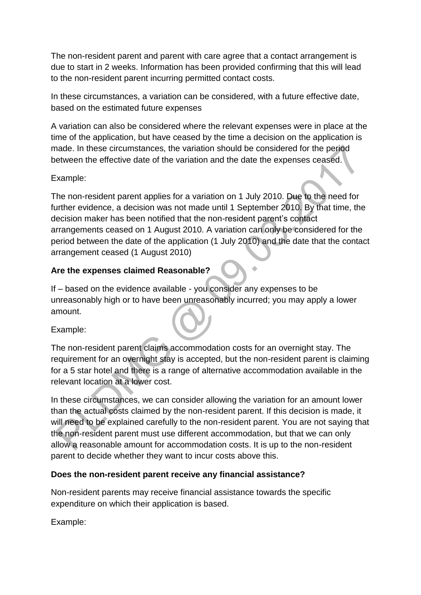The non-resident parent and parent with care agree that a contact arrangement is due to start in 2 weeks. Information has been provided confirming that this will lead to the non-resident parent incurring permitted contact costs.

In these circumstances, a variation can be considered, with a future effective date, based on the estimated future expenses

A variation can also be considered where the relevant expenses were in place at the time of the application, but have ceased by the time a decision on the application is made. In these circumstances, the variation should be considered for the period between the effective date of the variation and the date the expenses ceased.

## Example:

The non-resident parent applies for a variation on 1 July 2010. Due to the need for further evidence, a decision was not made until 1 September 2010. By that time, the decision maker has been notified that the non-resident parent's contact arrangements ceased on 1 August 2010. A variation can only be considered for the period between the date of the application (1 July 2010) and the date that the contact arrangement ceased (1 August 2010)

## **Are the expenses claimed Reasonable?**

If – based on the evidence available - you consider any expenses to be unreasonably high or to have been unreasonably incurred; you may apply a lower amount.

Example:

The non-resident parent claims accommodation costs for an overnight stay. The requirement for an overnight stay is accepted, but the non-resident parent is claiming for a 5 star hotel and there is a range of alternative accommodation available in the relevant location at a lower cost.

In these circumstances, we can consider allowing the variation for an amount lower than the actual costs claimed by the non-resident parent. If this decision is made, it will need to be explained carefully to the non-resident parent. You are not saying that the non-resident parent must use different accommodation, but that we can only allow a reasonable amount for accommodation costs. It is up to the non-resident parent to decide whether they want to incur costs above this.

## **Does the non-resident parent receive any financial assistance?**

Non-resident parents may receive financial assistance towards the specific expenditure on which their application is based.

Example: